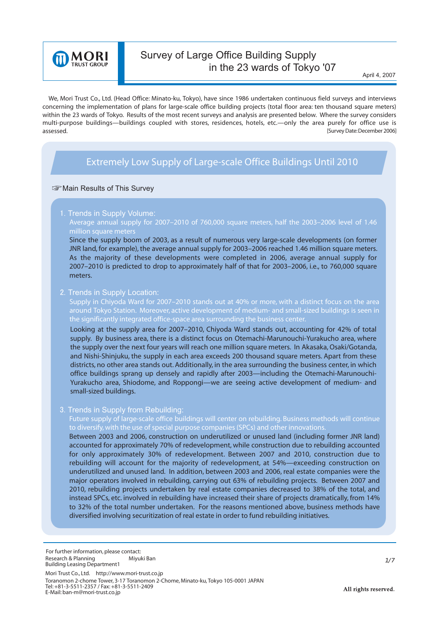

# Survey of Large Office Building Supply in the 23 wards of Tokyo '07

 We, Mori Trust Co., Ltd. (Head Office: Minato-ku, Tokyo), have since 1986 undertaken continuous field surveys and interviews concerning the implementation of plans for large-scale office building projects (total floor area: ten thousand square meters) within the 23 wards of Tokyo. Results of the most recent surveys and analysis are presented below. Where the survey considers multi-purpose buildings—buildings coupled with stores, residences, hotels, etc.—only the area purely for office use is assessed. [Survey Date: December 2006]

## *Extremely Low Supply of Large-scale Office Buildings Until 2010*

#### **WE Main Results of This Survey**

1. Trends in Supply Volume:

**Average annual supply for 2007–2010 of 760,000 square meters, half the 2003–2006 level of 1.46** 

Since the supply boom of 2003, as a result of numerous very large-scale developments (on former JNR land, for example), the average annual supply for 2003–2006 reached 1.46 million square meters. As the majority of these developments were completed in 2006, average annual supply for 2007–2010 is predicted to drop to approximately half of that for 2003–2006, i.e., to 760,000 square meters.

#### 2. Trends in Supply Location:

**Supply in Chiyoda Ward for 2007–2010 stands out at 40% or more, with a distinct focus on the area around Tokyo Station. Moreover, active development of medium- and small-sized buildings is seen in the significantly integrated office-space area surrounding the business center.**

Looking at the supply area for 2007–2010, Chiyoda Ward stands out, accounting for 42% of total supply. By business area, there is a distinct focus on Otemachi-Marunouchi-Yurakucho area, where the supply over the next four years will reach one million square meters. In Akasaka, Osaki/Gotanda, and Nishi-Shinjuku, the supply in each area exceeds 200 thousand square meters. Apart from these districts, no other area stands out. Additionally, in the area surrounding the business center, in which office buildings sprang up densely and rapidly after 2003—including the Otemachi-Marunouchi-Yurakucho area, Shiodome, and Roppongi—we are seeing active development of medium- and small-sized buildings.

#### 3. Trends in Supply from Rebuilding:

**Future supply of large-scale office buildings will center on rebuilding. Business methods will continue** 

Between 2003 and 2006, construction on underutilized or unused land (including former JNR land) accounted for approximately 70% of redevelopment, while construction due to rebuilding accounted for only approximately 30% of redevelopment. Between 2007 and 2010, construction due to rebuilding will account for the majority of redevelopment, at 54%—exceeding construction on underutilized and unused land. In addition, between 2003 and 2006, real estate companies were the major operators involved in rebuilding, carrying out 63% of rebuilding projects. Between 2007 and 2010, rebuilding projects undertaken by real estate companies decreased to 38% of the total, and instead SPCs, etc. involved in rebuilding have increased their share of projects dramatically, from 14% to 32% of the total number undertaken. For the reasons mentioned above, business methods have diversified involving securitization of real estate in order to fund rebuilding initiatives.

Mori Trust Co., Ltd. http://www.mori-trust.co.jp Toranomon 2-chome Tower, 3-17 Toranomon 2-Chome, Minato-ku, Tokyo 105-0001 JAPAN Tel: +81-3-5511-2357 / Fax: +81-3-5511-2409 E-Mail: ban-m@mori-trust.co.jp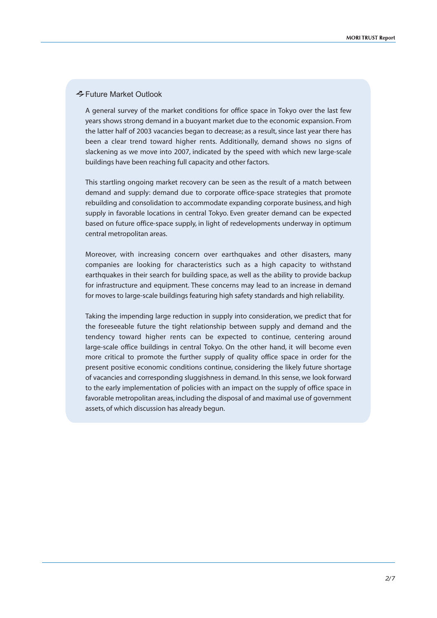### Future Market Outlook

A general survey of the market conditions for office space in Tokyo over the last few years shows strong demand in a buoyant market due to the economic expansion. From the latter half of 2003 vacancies began to decrease; as a result, since last year there has been a clear trend toward higher rents. Additionally, demand shows no signs of slackening as we move into 2007, indicated by the speed with which new large-scale buildings have been reaching full capacity and other factors.

This startling ongoing market recovery can be seen as the result of a match between demand and supply: demand due to corporate office-space strategies that promote rebuilding and consolidation to accommodate expanding corporate business, and high supply in favorable locations in central Tokyo. Even greater demand can be expected based on future office-space supply, in light of redevelopments underway in optimum central metropolitan areas.

Moreover, with increasing concern over earthquakes and other disasters, many companies are looking for characteristics such as a high capacity to withstand earthquakes in their search for building space, as well as the ability to provide backup for infrastructure and equipment. These concerns may lead to an increase in demand for moves to large-scale buildings featuring high safety standards and high reliability.

Taking the impending large reduction in supply into consideration, we predict that for the foreseeable future the tight relationship between supply and demand and the tendency toward higher rents can be expected to continue, centering around large-scale office buildings in central Tokyo. On the other hand, it will become even more critical to promote the further supply of quality office space in order for the present positive economic conditions continue, considering the likely future shortage of vacancies and corresponding sluggishness in demand. In this sense, we look forward to the early implementation of policies with an impact on the supply of office space in favorable metropolitan areas, including the disposal of and maximal use of government assets, of which discussion has already begun.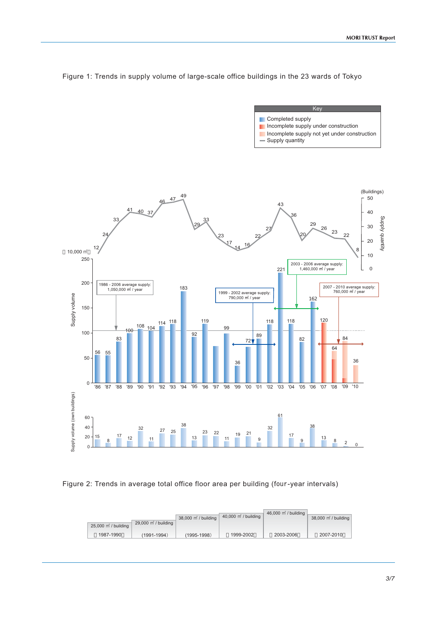

Figure 1: Trends in supply volume of large-scale office buildings in the 23 wards of Tokyo

Key

**Key** 

#### Figure 2: Trends in average total office floor area per building (four-year intervals)

| $25,000 \text{ m}^2$ / building | $29,000$ m / building | 38,000 m <sup>2</sup> / building | 40,000 m / building | 46,000 m / building | 38,000 m / building |
|---------------------------------|-----------------------|----------------------------------|---------------------|---------------------|---------------------|
| 1987-1990                       | (1991-1994)           | $(1995 - 1998)$                  | 1999-2002           | 2003-2006           | 2007-2010           |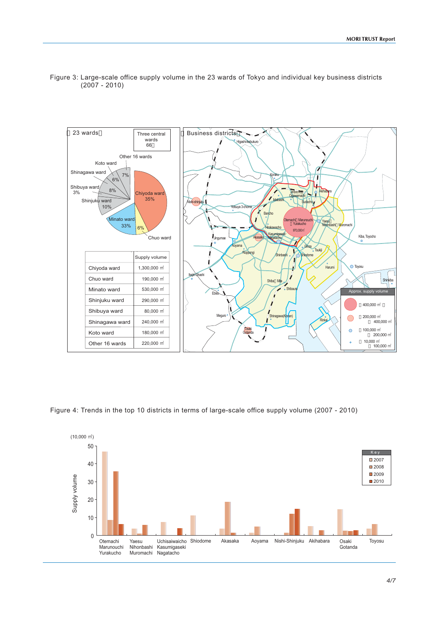



Figure 4: Trends in the top 10 districts in terms of large-scale office supply volume (2007 - 2010)

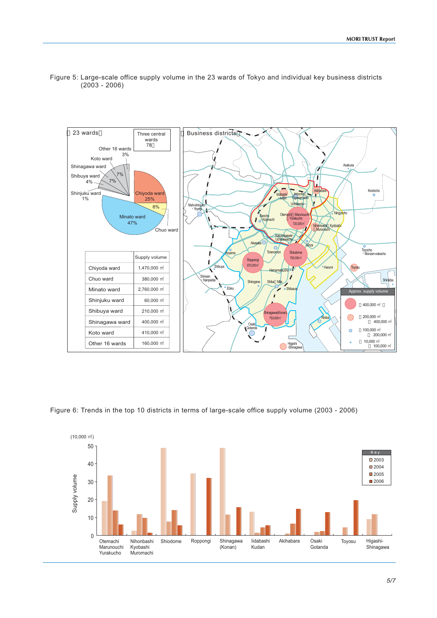



Figure 6: Trends in the top 10 districts in terms of large-scale office supply volume (2003 - 2006)

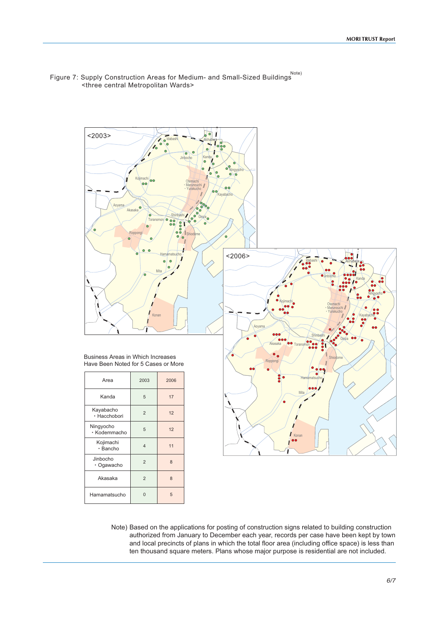

Jinbocho Ogawacho Akasaka

2

2

8

5

8

 $\overline{0}$ 

Hamamatsucho



Note) Based on the applications for posting of construction signs related to building construction authorized from January to December each year, records per case have been kept by town and local precincts of plans in which the total floor area (including office space) is less than ten thousand square meters. Plans whose major purpose is residential are not included.